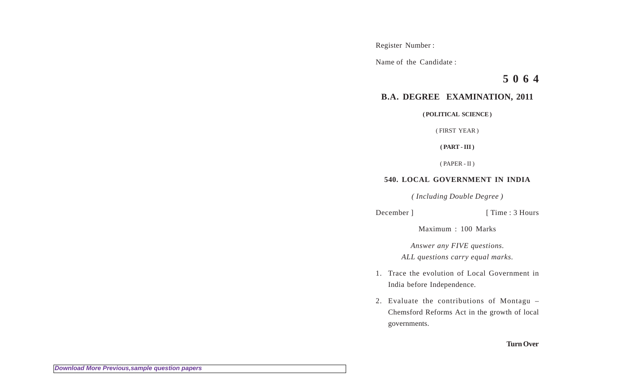Register Number :

Name of the Candidate :

**5 0 6 4**

## **B.A. DEGREE EXAMINATION, 2011**

**( POLITICAL SCIENCE )**

( FIRST YEAR )

**( PART - III )**

( PAPER - II )

## **540. LOCAL GOVERNMENT IN INDIA**

*( Including Double Degree )*

December ] [ Time : 3 Hours

Maximum : 100 Marks

*Answer any FIVE questions. ALL questions carry equal marks.*

- 1. Trace the evolution of Local Government in India before Independence.
- 2. Evaluate the contributions of Montagu Chemsford Reforms Act in the growth of local governments.

## **Turn Over**